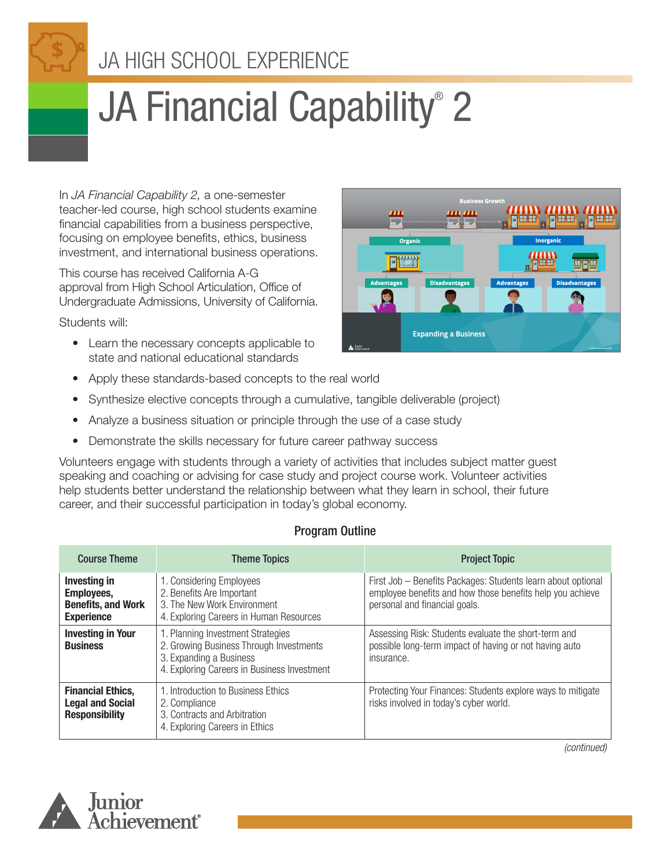# JA HIGH SCHOOL EXPERIENCE

# JA Financial Capability® 2

In *JA Financial Capability 2,* a one-semester teacher-led course, high school students examine financial capabilities from a business perspective, focusing on employee benefits, ethics, business investment, and international business operations.

This course has received California A-G approval from High School Articulation, Office of Undergraduate Admissions, University of California.

Students will:

- Learn the necessary concepts applicable to state and national educational standards
- Fitti **Disadvantages Expanding a Business**
- Apply these standards-based concepts to the real world
- Synthesize elective concepts through a cumulative, tangible deliverable (project)
- Analyze a business situation or principle through the use of a case study
- Demonstrate the skills necessary for future career pathway success

Volunteers engage with students through a variety of activities that includes subject matter guest speaking and coaching or advising for case study and project course work. Volunteer activities help students better understand the relationship between what they learn in school, their future career, and their successful participation in today's global economy.

#### Program Outline

| <b>Course Theme</b>                                                          | <b>Theme Topics</b>                                                                                                                                    | <b>Project Topic</b>                                                                                                                                       |  |
|------------------------------------------------------------------------------|--------------------------------------------------------------------------------------------------------------------------------------------------------|------------------------------------------------------------------------------------------------------------------------------------------------------------|--|
| Investing in<br>Employees,<br><b>Benefits, and Work</b><br><b>Experience</b> | 1. Considering Employees<br>2. Benefits Are Important<br>3. The New Work Environment<br>4. Exploring Careers in Human Resources                        | First Job - Benefits Packages: Students learn about optional<br>employee benefits and how those benefits help you achieve<br>personal and financial goals. |  |
| <b>Investing in Your</b><br><b>Business</b>                                  | 1. Planning Investment Strategies<br>2. Growing Business Through Investments<br>3. Expanding a Business<br>4. Exploring Careers in Business Investment | Assessing Risk: Students evaluate the short-term and<br>possible long-term impact of having or not having auto<br>insurance.                               |  |
| <b>Financial Ethics,</b><br><b>Legal and Social</b><br><b>Responsibility</b> | 1. Introduction to Business Ethics<br>2. Compliance<br>3. Contracts and Arbitration<br>4. Exploring Careers in Ethics                                  | Protecting Your Finances: Students explore ways to mitigate<br>risks involved in today's cyber world.                                                      |  |



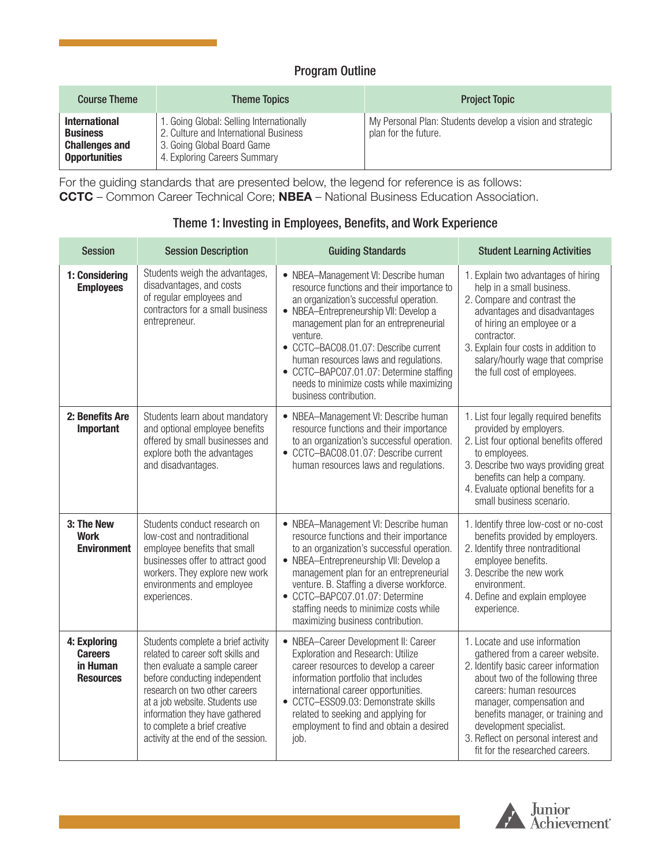#### Program Outline

| <b>Course Theme</b>                                                                      | <b>Theme Topics</b>                                                                                                                             | <b>Project Topic</b>                                                              |
|------------------------------------------------------------------------------------------|-------------------------------------------------------------------------------------------------------------------------------------------------|-----------------------------------------------------------------------------------|
| <b>International</b><br><b>Business</b><br><b>Challenges and</b><br><b>Opportunities</b> | 1. Going Global: Selling Internationally<br>2. Culture and International Business<br>3. Going Global Board Game<br>4. Exploring Careers Summary | My Personal Plan: Students develop a vision and strategic<br>plan for the future. |

For the guiding standards that are presented below, the legend for reference is as follows: **CCTC** – Common Career Technical Core; **NBEA** – National Business Education Association.

| <b>Session</b>                                                 | <b>Session Description</b>                                                                                                                                                                                                                                                                                            | <b>Guiding Standards</b>                                                                                                                                                                                                                                                                                                                                                                                                        | <b>Student Learning Activities</b>                                                                                                                                                                                                                                                                                                              |
|----------------------------------------------------------------|-----------------------------------------------------------------------------------------------------------------------------------------------------------------------------------------------------------------------------------------------------------------------------------------------------------------------|---------------------------------------------------------------------------------------------------------------------------------------------------------------------------------------------------------------------------------------------------------------------------------------------------------------------------------------------------------------------------------------------------------------------------------|-------------------------------------------------------------------------------------------------------------------------------------------------------------------------------------------------------------------------------------------------------------------------------------------------------------------------------------------------|
| 1: Considering<br><b>Employees</b>                             | Students weigh the advantages,<br>disadvantages, and costs<br>of regular employees and<br>contractors for a small business<br>entrepreneur.                                                                                                                                                                           | • NBEA-Management VI: Describe human<br>resource functions and their importance to<br>an organization's successful operation.<br>• NBEA-Entrepreneurship VII: Develop a<br>management plan for an entrepreneurial<br>venture.<br>• CCTC-BAC08.01.07: Describe current<br>human resources laws and regulations.<br>• CCTC-BAPC07.01.07: Determine staffing<br>needs to minimize costs while maximizing<br>business contribution. | 1. Explain two advantages of hiring<br>help in a small business.<br>2. Compare and contrast the<br>advantages and disadvantages<br>of hiring an employee or a<br>contractor.<br>3. Explain four costs in addition to<br>salary/hourly wage that comprise<br>the full cost of employees.                                                         |
| 2: Benefits Are<br>Important                                   | Students learn about mandatory<br>and optional employee benefits<br>offered by small businesses and<br>explore both the advantages<br>and disadvantages.                                                                                                                                                              | • NBEA-Management VI: Describe human<br>resource functions and their importance<br>to an organization's successful operation.<br>• CCTC-BAC08.01.07: Describe current<br>human resources laws and regulations.                                                                                                                                                                                                                  | 1. List four legally required benefits<br>provided by employers.<br>2. List four optional benefits offered<br>to employees.<br>3. Describe two ways providing great<br>benefits can help a company.<br>4. Evaluate optional benefits for a<br>small business scenario.                                                                          |
| 3: The New<br><b>Work</b><br><b>Environment</b>                | Students conduct research on<br>low-cost and nontraditional<br>employee benefits that small<br>businesses offer to attract good<br>workers. They explore new work<br>environments and employee<br>experiences.                                                                                                        | • NBEA-Management VI: Describe human<br>resource functions and their importance<br>to an organization's successful operation.<br>• NBEA-Entrepreneurship VII: Develop a<br>management plan for an entrepreneurial<br>venture. B. Staffing a diverse workforce.<br>• CCTC-BAPC07.01.07: Determine<br>staffing needs to minimize costs while<br>maximizing business contribution.                                                 | 1. Identify three low-cost or no-cost<br>benefits provided by employers.<br>2. Identify three nontraditional<br>employee benefits.<br>3. Describe the new work<br>environment.<br>4. Define and explain employee<br>experience.                                                                                                                 |
| 4: Exploring<br><b>Careers</b><br>in Human<br><b>Resources</b> | Students complete a brief activity<br>related to career soft skills and<br>then evaluate a sample career<br>before conducting independent<br>research on two other careers<br>at a job website. Students use<br>information they have gathered<br>to complete a brief creative<br>activity at the end of the session. | • NBEA-Career Development II: Career<br><b>Exploration and Research: Utilize</b><br>career resources to develop a career<br>information portfolio that includes<br>international career opportunities.<br>• CCTC-ESS09.03: Demonstrate skills<br>related to seeking and applying for<br>employment to find and obtain a desired<br>job.                                                                                         | 1. Locate and use information<br>gathered from a career website.<br>2. Identify basic career information<br>about two of the following three<br>careers: human resources<br>manager, compensation and<br>benefits manager, or training and<br>development specialist.<br>3. Reflect on personal interest and<br>fit for the researched careers. |

#### Theme 1: Investing in Employees, Benefits, and Work Experience

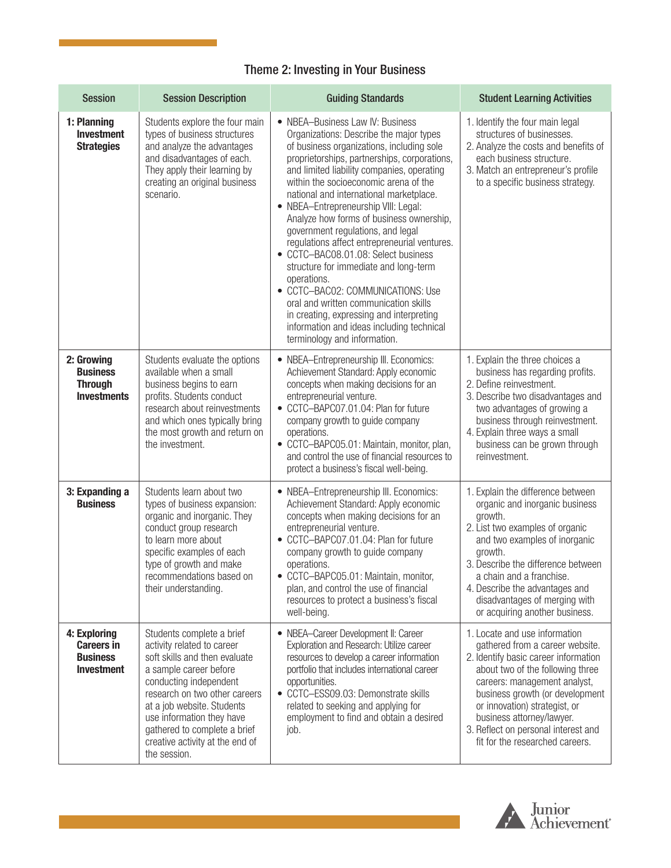# Theme 2: Investing in Your Business

| <b>Session</b>                                                            | <b>Session Description</b>                                                                                                                                                                                                                                                                                                  | <b>Guiding Standards</b>                                                                                                                                                                                                                                                                                                                                                                                                                                                                                                                                                                                                                                                                                                                                                                | <b>Student Learning Activities</b>                                                                                                                                                                                                                                                                                                                      |
|---------------------------------------------------------------------------|-----------------------------------------------------------------------------------------------------------------------------------------------------------------------------------------------------------------------------------------------------------------------------------------------------------------------------|-----------------------------------------------------------------------------------------------------------------------------------------------------------------------------------------------------------------------------------------------------------------------------------------------------------------------------------------------------------------------------------------------------------------------------------------------------------------------------------------------------------------------------------------------------------------------------------------------------------------------------------------------------------------------------------------------------------------------------------------------------------------------------------------|---------------------------------------------------------------------------------------------------------------------------------------------------------------------------------------------------------------------------------------------------------------------------------------------------------------------------------------------------------|
| 1: Planning<br><b>Investment</b><br><b>Strategies</b>                     | Students explore the four main<br>types of business structures<br>and analyze the advantages<br>and disadvantages of each.<br>They apply their learning by<br>creating an original business<br>scenario.                                                                                                                    | • NBEA-Business Law IV: Business<br>Organizations: Describe the major types<br>of business organizations, including sole<br>proprietorships, partnerships, corporations,<br>and limited liability companies, operating<br>within the socioeconomic arena of the<br>national and international marketplace.<br>• NBEA-Entrepreneurship VIII: Legal:<br>Analyze how forms of business ownership,<br>government regulations, and legal<br>regulations affect entrepreneurial ventures.<br>• CCTC-BAC08.01.08: Select business<br>structure for immediate and long-term<br>operations.<br>CCTC-BAC02: COMMUNICATIONS: Use<br>oral and written communication skills<br>in creating, expressing and interpreting<br>information and ideas including technical<br>terminology and information. | 1. Identify the four main legal<br>structures of businesses.<br>2. Analyze the costs and benefits of<br>each business structure.<br>3. Match an entrepreneur's profile<br>to a specific business strategy.                                                                                                                                              |
| 2: Growing<br><b>Business</b><br><b>Through</b><br><b>Investments</b>     | Students evaluate the options<br>available when a small<br>business begins to earn<br>profits. Students conduct<br>research about reinvestments<br>and which ones typically bring<br>the most growth and return on<br>the investment.                                                                                       | • NBEA-Entrepreneurship III. Economics:<br>Achievement Standard: Apply economic<br>concepts when making decisions for an<br>entrepreneurial venture.<br>• CCTC-BAPC07.01.04: Plan for future<br>company growth to guide company<br>operations.<br>• CCTC-BAPC05.01: Maintain, monitor, plan,<br>and control the use of financial resources to<br>protect a business's fiscal well-being.                                                                                                                                                                                                                                                                                                                                                                                                | 1. Explain the three choices a<br>business has regarding profits.<br>2. Define reinvestment.<br>3. Describe two disadvantages and<br>two advantages of growing a<br>business through reinvestment.<br>4. Explain three ways a small<br>business can be grown through<br>reinvestment.                                                                   |
| 3: Expanding a<br><b>Business</b>                                         | Students learn about two<br>types of business expansion:<br>organic and inorganic. They<br>conduct group research<br>to learn more about<br>specific examples of each<br>type of growth and make<br>recommendations based on<br>their understanding.                                                                        | • NBEA-Entrepreneurship III. Economics:<br>Achievement Standard: Apply economic<br>concepts when making decisions for an<br>entrepreneurial venture.<br>• CCTC-BAPC07.01.04: Plan for future<br>company growth to guide company<br>operations.<br>• CCTC-BAPC05.01: Maintain, monitor,<br>plan, and control the use of financial<br>resources to protect a business's fiscal<br>well-being.                                                                                                                                                                                                                                                                                                                                                                                             | 1. Explain the difference between<br>organic and inorganic business<br>growth.<br>2. List two examples of organic<br>and two examples of inorganic<br>growth.<br>3. Describe the difference between<br>a chain and a franchise<br>4. Describe the advantages and<br>disadvantages of merging with<br>or acquiring another business.                     |
| 4: Exploring<br><b>Careers in</b><br><b>Business</b><br><b>Investment</b> | Students complete a brief<br>activity related to career<br>soft skills and then evaluate<br>a sample career before<br>conducting independent<br>research on two other careers<br>at a job website. Students<br>use information they have<br>gathered to complete a brief<br>creative activity at the end of<br>the session. | • NBEA-Career Development II: Career<br>Exploration and Research: Utilize career<br>resources to develop a career information<br>portfolio that includes international career<br>opportunities.<br>• CCTC-ESS09.03: Demonstrate skills<br>related to seeking and applying for<br>employment to find and obtain a desired<br>job.                                                                                                                                                                                                                                                                                                                                                                                                                                                        | 1. Locate and use information<br>gathered from a career website.<br>2. Identify basic career information<br>about two of the following three<br>careers: management analyst,<br>business growth (or development<br>or innovation) strategist, or<br>business attorney/lawyer.<br>3. Reflect on personal interest and<br>fit for the researched careers. |

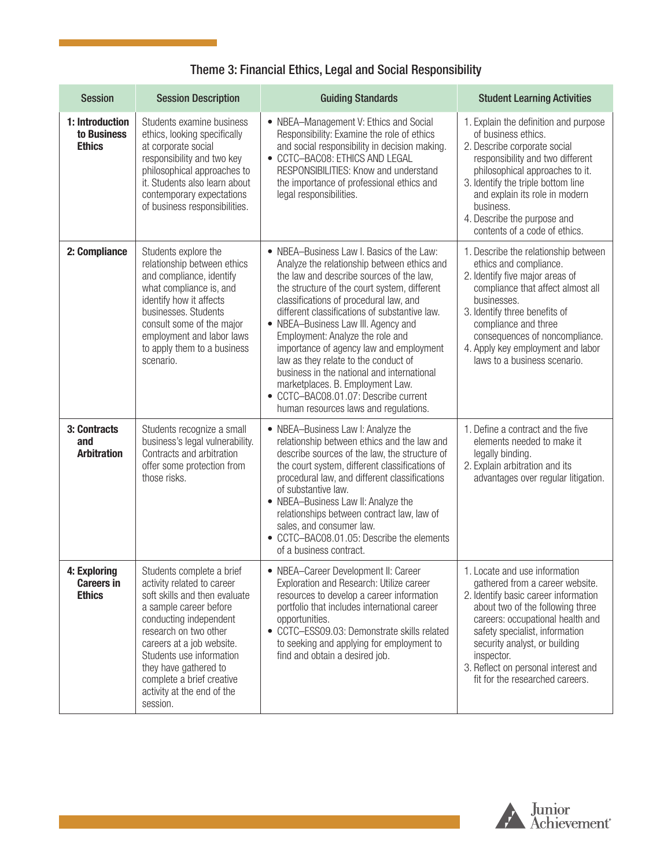# Theme 3: Financial Ethics, Legal and Social Responsibility

| <b>Session</b>                                     | <b>Session Description</b>                                                                                                                                                                                                                                                                                                     | <b>Guiding Standards</b>                                                                                                                                                                                                                                                                                                                                                                                                                                                                                                                                                                                         | <b>Student Learning Activities</b>                                                                                                                                                                                                                                                                                                          |
|----------------------------------------------------|--------------------------------------------------------------------------------------------------------------------------------------------------------------------------------------------------------------------------------------------------------------------------------------------------------------------------------|------------------------------------------------------------------------------------------------------------------------------------------------------------------------------------------------------------------------------------------------------------------------------------------------------------------------------------------------------------------------------------------------------------------------------------------------------------------------------------------------------------------------------------------------------------------------------------------------------------------|---------------------------------------------------------------------------------------------------------------------------------------------------------------------------------------------------------------------------------------------------------------------------------------------------------------------------------------------|
| 1: Introduction<br>to Business<br><b>Ethics</b>    | Students examine business<br>ethics, looking specifically<br>at corporate social<br>responsibility and two key<br>philosophical approaches to<br>it. Students also learn about<br>contemporary expectations<br>of business responsibilities.                                                                                   | • NBEA-Management V: Ethics and Social<br>Responsibility: Examine the role of ethics<br>and social responsibility in decision making.<br>• CCTC-BAC08: ETHICS AND LEGAL<br>RESPONSIBILITIES: Know and understand<br>the importance of professional ethics and<br>legal responsibilities.                                                                                                                                                                                                                                                                                                                         | 1. Explain the definition and purpose<br>of business ethics.<br>2. Describe corporate social<br>responsibility and two different<br>philosophical approaches to it.<br>3. Identify the triple bottom line<br>and explain its role in modern<br>business.<br>4. Describe the purpose and<br>contents of a code of ethics.                    |
| 2: Compliance                                      | Students explore the<br>relationship between ethics<br>and compliance, identify<br>what compliance is, and<br>identify how it affects<br>businesses. Students<br>consult some of the major<br>employment and labor laws<br>to apply them to a business<br>scenario.                                                            | • NBEA-Business Law I. Basics of the Law:<br>Analyze the relationship between ethics and<br>the law and describe sources of the law,<br>the structure of the court system, different<br>classifications of procedural law, and<br>different classifications of substantive law.<br>• NBEA-Business Law III. Agency and<br>Employment: Analyze the role and<br>importance of agency law and employment<br>law as they relate to the conduct of<br>business in the national and international<br>marketplaces. B. Employment Law.<br>• CCTC-BAC08.01.07: Describe current<br>human resources laws and regulations. | 1. Describe the relationship between<br>ethics and compliance.<br>2. Identify five major areas of<br>compliance that affect almost all<br>businesses.<br>3. Identify three benefits of<br>compliance and three<br>consequences of noncompliance.<br>4. Apply key employment and labor<br>laws to a business scenario.                       |
| 3: Contracts<br>and<br><b>Arbitration</b>          | Students recognize a small<br>business's legal vulnerability.<br>Contracts and arbitration<br>offer some protection from<br>those risks.                                                                                                                                                                                       | • NBEA-Business Law I: Analyze the<br>relationship between ethics and the law and<br>describe sources of the law, the structure of<br>the court system, different classifications of<br>procedural law, and different classifications<br>of substantive law.<br>• NBEA-Business Law II: Analyze the<br>relationships between contract law, law of<br>sales, and consumer law.<br>• CCTC-BAC08.01.05: Describe the elements<br>of a business contract.                                                                                                                                                            | 1. Define a contract and the five<br>elements needed to make it<br>legally binding.<br>2. Explain arbitration and its<br>advantages over regular litigation.                                                                                                                                                                                |
| 4: Exploring<br><b>Careers in</b><br><b>Ethics</b> | Students complete a brief<br>activity related to career<br>soft skills and then evaluate<br>a sample career before<br>conducting independent<br>research on two other<br>careers at a job website.<br>Students use information<br>they have gathered to<br>complete a brief creative<br>activity at the end of the<br>session. | • NBEA-Career Development II: Career<br>Exploration and Research: Utilize career<br>resources to develop a career information<br>portfolio that includes international career<br>opportunities.<br>• CCTC-ESS09.03: Demonstrate skills related<br>to seeking and applying for employment to<br>find and obtain a desired job.                                                                                                                                                                                                                                                                                    | 1. Locate and use information<br>gathered from a career website.<br>2. Identify basic career information<br>about two of the following three<br>careers: occupational health and<br>safety specialist, information<br>security analyst, or building<br>inspector.<br>3. Reflect on personal interest and<br>fit for the researched careers. |